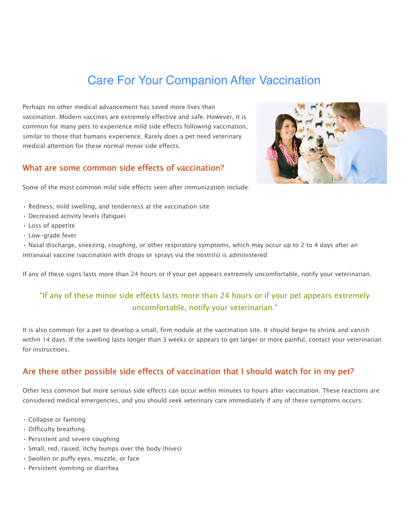# **Carlotte Companion** After Vaccination Care For Your Companion After Vaccination

Perhaps no other medical advancement has saved more lives than vaccination. Modern vaccines are extremely effective and safe. However, it is common for many pets to experience mild side effects following vaccination, similar to those that humans experience. Rarely does a pet need veterinary medical attention for these normal minor side effects.

### What are some common side effects of vaccination?



Some of the most common mild side effects seen after immunization include:

- Redness, mild swelling, and tenderness at the vaccination site
- Decreased activity levels (fatigue)
- Loss of appetite
- Low-grade fever

• Nasal discharge, sneezing, coughing, or other respiratory symptoms, which may occur up to 2 to 4 days after an intranasal vaccine (vaccination with drops or sprays via the nostrils) is administered

If any of these signs lasts more than 24 hours or if your pet appears extremely uncomfortable, notify your veterinarian.

# "If any of these minor side effects lasts more than 24 hours or if your pet appears extremely uncomfortable, notify your veterinarian."

It is also common for a pet to develop a small, firm nodule at the vaccination site. It should begin to shrink and vanish within 14 days. If the swelling lasts longer than 3 weeks or appears to get larger or more painful, contact your veterinarian for instructions.

## Are there other possible side effects of vaccination that I should watch for in my pet?

Other less common but more serious side effects can occur within minutes to hours after vaccination. These reactions are considered medical emergencies, and you should seek veterinary care immediately if any of these symptoms occurs:

- Collapse or fainting
- Difficulty breathing
- Persistent and severe coughing
- Small, red, raised, itchy bumps over the body (hives)
- Swollen or puffy eyes, muzzle, or face
- Persistent vomiting or diarrhea